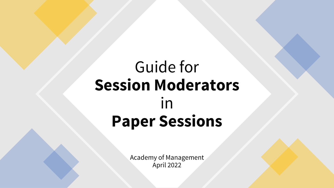# Guide for **Session Moderators** in **Paper Sessions**

Academy of Management April 2022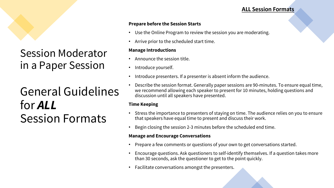#### **ALL Session Formats**

#### **Prepare before the Session Starts**

- Use the Online Program to review the session you are moderating.
- Arrive prior to the scheduled start time.

#### **Manage Introductions**

- Announce the session title.
- Introduce yourself.
- Introduce presenters. If a presenter is absent inform the audience.
- di UUIUCIIIIES discussion until all speakers have presented. • Describe the session format. Generally paper sessions are 90-minutes. To ensure equal time, we recommend allowing each speaker to present for 10 minutes, holding questions and

#### **Time Keeping**

- Stress the importance to presenters of staying on time. The audience relies on you to ensure that speakers have equal time to present and discuss their work.
- Begin closing the session 2-3 minutes before the scheduled end time.

#### **Manage and Encourage Conversations**

- Prepare a few comments or questions of your own to get conversations started.
- Encourage questions. Ask questioners to self-identify themselves. If a question takes more than 30 seconds, ask the questioner to get to the point quickly.
- Facilitate conversations amongst the presenters.

## Session Moderator in a Paper Session

# General Guidelines for *ALL* Session Formats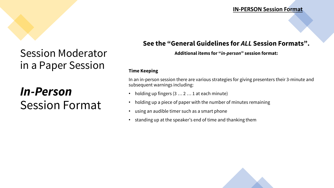#### **IN-PERSON Session Format**

### Session Moderator in a Paper Session

# *In-Person* Session Format

### **See the "General Guidelines for** *ALL* **Session Formats".**

#### **Additional items for "***in-person***" session format:**

#### **Time Keeping**

In an in-person session there are various strategies for giving presenters their 3-minute and subsequent warnings including:

- $\textbf{S}\textbf{O}\textbf{I}$  and the set of starts. The set of starts of starts. The set of set of set of set of starts. The set of set of  $\textbf{S}\textbf{O}\textbf{I}$  at each minute)
	- holding up a piece of paper with the number of minutes remaining
	- using an audible timer such as a smart phone
	- standing up at the speaker's end of time and thanking them

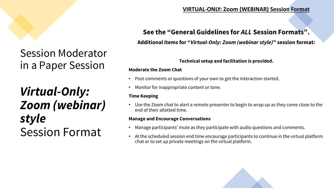# Session Moderator in a Paper Session

Virtual-Only:<br>*Filter on the Keeping* in the Seeping in the seeping in the session state in a house starts. *Zoom (webinar) style* Session Format

### **VIRTUAL-ONLY: Zoom (WEBINAR) Session Format**

### **See the "General Guidelines for** *ALL* **Session Formats".**

**Additional items for "***Virtual-Only: Zoom (webinar style)***" session format:**

#### **Technical setup and facilitation is provided.**

#### **Moderate the Zoom Chat**

- Post comments or questions of your own to get the interaction started.
- Monitor for inappropriate content or tone.

#### **Time Keeping**

• Use the Zoom chat to alert a remote presenter to begin to wrap up as they come close to the end of their allotted time.

#### **Manage and Encourage Conversations**

- Manage participants' mute as they participate with audio questions and comments.
- At the scheduled session end time encourage participants to continue in the virtual platform chat or to set up private meetings on the virtual platform.

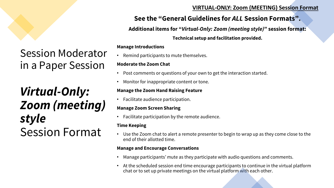#### **VIRTUAL-ONLY: Zoom (MEETING) Session Format**

### **See the "General Guidelines for** *ALL* **Session Formats".**

**Additional items for "***Virtual-Only: Zoom (meeting style)***" session format:**

**Technical setup and facilitation provided.**

#### **Manage Introductions**

• Remind participants to mute themselves.

#### **Moderate the Zoom Chat**

- Post comments or questions of your own to get the interaction started.
- Monitor for inappropriate content or tone.

#### **Manage the Zoom Hand Raising Feature**

• Facilitate audience participation.

#### **Manage Zoom Screen Sharing**

• Facilitate participation by the remote audience.

#### **Time Keeping**

• Use the Zoom chat to alert a remote presenter to begin to wrap up as they come close to the end of their allotted time.

#### **Manage and Encourage Conversations**

- Manage participants' mute as they participate with audio questions and comments.
- At the scheduled session end time encourage participants to continue in the virtual platform chat or to set up private meetings on the virtual platform with each other.

# Session Moderator in a Paper Session

Virtual-Only: Manage the Zoom Hand Raising Feature *Zoom (meeting) style* Session Format